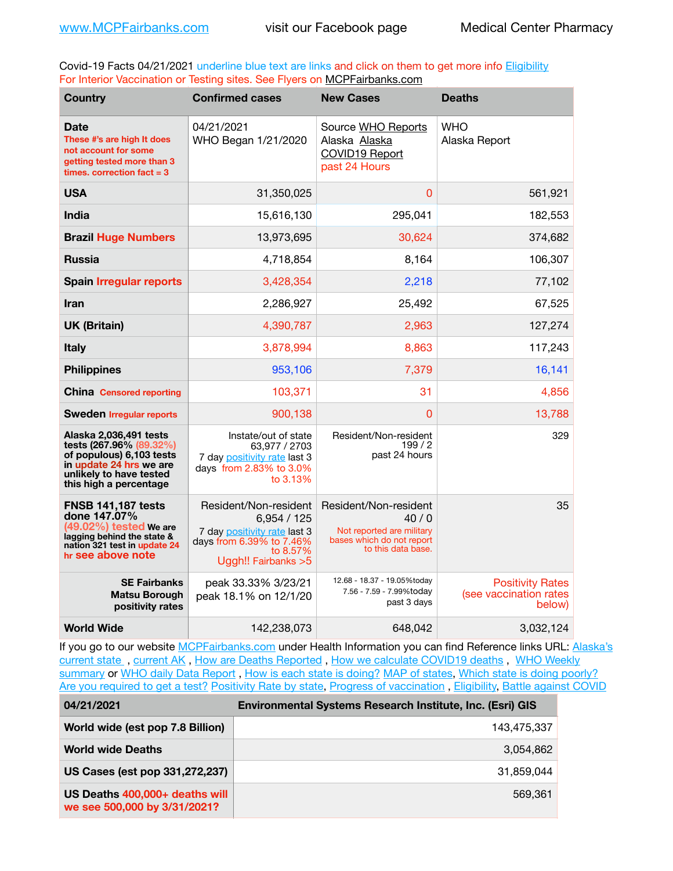Covid-19 Facts 04/21/2021 underline blue text are links and click on them to get more info **Eligibility** For Interior Vaccination or Testing sites. See Flyers on [MCPFairbanks.com](http://www.MCPFairbanks.com)

| <b>Country</b>                                                                                                                                                | <b>Confirmed cases</b>                                                                                                            | <b>New Cases</b>                                                                                              | <b>Deaths</b>                                               |
|---------------------------------------------------------------------------------------------------------------------------------------------------------------|-----------------------------------------------------------------------------------------------------------------------------------|---------------------------------------------------------------------------------------------------------------|-------------------------------------------------------------|
| <b>Date</b><br>These #'s are high It does<br>not account for some<br>getting tested more than 3<br>times, correction fact $= 3$                               | 04/21/2021<br>WHO Began 1/21/2020                                                                                                 | Source WHO Reports<br>Alaska Alaska<br>COVID19 Report<br>past 24 Hours                                        | WHO<br>Alaska Report                                        |
| <b>USA</b>                                                                                                                                                    | 31,350,025                                                                                                                        | $\Omega$                                                                                                      | 561,921                                                     |
| <b>India</b>                                                                                                                                                  | 15,616,130                                                                                                                        | 295,041                                                                                                       | 182,553                                                     |
| <b>Brazil Huge Numbers</b>                                                                                                                                    | 13,973,695                                                                                                                        | 30,624                                                                                                        | 374,682                                                     |
| <b>Russia</b>                                                                                                                                                 | 4,718,854                                                                                                                         | 8,164                                                                                                         | 106,307                                                     |
| <b>Spain Irregular reports</b>                                                                                                                                | 3,428,354                                                                                                                         | 2,218                                                                                                         | 77,102                                                      |
| <b>Iran</b>                                                                                                                                                   | 2,286,927                                                                                                                         | 25,492                                                                                                        | 67,525                                                      |
| <b>UK (Britain)</b>                                                                                                                                           | 4,390,787                                                                                                                         | 2,963                                                                                                         | 127,274                                                     |
| <b>Italy</b>                                                                                                                                                  | 3,878,994                                                                                                                         | 8,863                                                                                                         | 117,243                                                     |
| <b>Philippines</b>                                                                                                                                            | 953,106                                                                                                                           | 7,379                                                                                                         | 16,141                                                      |
| <b>China</b> Censored reporting                                                                                                                               | 103,371                                                                                                                           | 31                                                                                                            | 4,856                                                       |
| <b>Sweden Irregular reports</b>                                                                                                                               | 900,138                                                                                                                           | 0                                                                                                             | 13,788                                                      |
| Alaska 2,036,491 tests<br>tests (267.96% (89.32%)<br>of populous) 6,103 tests<br>in update 24 hrs we are<br>unlikely to have tested<br>this high a percentage | Instate/out of state<br>63.977 / 2703<br>7 day positivity rate last 3<br>days from 2.83% to 3.0%<br>to 3.13%                      | Resident/Non-resident<br>199/2<br>past 24 hours                                                               | 329                                                         |
| <b>FNSB 141,187 tests</b><br>done 147.07%<br>(49.02%) tested We are<br>lagging behind the state &<br>nation 321 test in update 24<br>hr see above note        | Resident/Non-resident<br>6,954/125<br>7 day positivity rate last 3<br>days from 6.39% to 7.46%<br>to 8.57%<br>Uggh!! Fairbanks >5 | Resident/Non-resident<br>40/0<br>Not reported are military<br>bases which do not report<br>to this data base. | 35                                                          |
| <b>SE Fairbanks</b><br><b>Matsu Borough</b><br>positivity rates                                                                                               | peak 33.33% 3/23/21<br>peak 18.1% on 12/1/20                                                                                      | 12.68 - 18.37 - 19.05%today<br>7.56 - 7.59 - 7.99%today<br>past 3 days                                        | <b>Positivity Rates</b><br>(see vaccination rates<br>below) |
| <b>World Wide</b>                                                                                                                                             | 142,238,073                                                                                                                       | 648,042                                                                                                       | 3,032,124                                                   |

If you go to our website [MCPFairbanks.com](http://www.MCPFairbanks.com) under Health Information you can find Reference links URL: Alaska's [current state](https://coronavirus-response-alaska-dhss.hub.arcgis.com) , [current AK](http://dhss.alaska.gov/dph/Epi/id/Pages/COVID-19/communications.aspx#cases) , [How are Deaths Reported](http://dhss.alaska.gov/dph/Epi/id/Pages/COVID-19/deathcounts.aspx) , [How we calculate COVID19 deaths](https://coronavirus-response-alaska-dhss.hub.arcgis.com/search?collection=Document&groupIds=41ccb3344ebc4bd682c74073eba21f42) , [WHO Weekly](http://www.who.int)  [summary](http://www.who.int) or [WHO daily Data Report](https://covid19.who.int/table), [How is each state is doing?](https://www.msn.com/en-us/news/us/state-by-state-coronavirus-news/ar-BB13E1PX?fbclid=IwAR0_OBJH7lSyTN3ug_MsOeFnNgB1orTa9OBgilKJ7dhnwlVvHEsptuKkj1c) [MAP of states,](https://www.nationalgeographic.com/science/graphics/graphic-tracking-coronavirus-infections-us?cmpid=org=ngp::mc=crm-email::src=ngp::cmp=editorial::add=SpecialEdition_20210305&rid=B9A6DF5992658E8E35CE023113CFEA4C) [Which state is doing poorly?](https://bestlifeonline.com/covid-outbreak-your-state/?utm_source=nsltr&utm_medium=email&utm_content=covid-outbreak-your-state&utm_campaign=launch) [Are you required to get a test?](http://dhss.alaska.gov/dph/Epi/id/SiteAssets/Pages/HumanCoV/Whattodoafteryourtest.pdf) [Positivity Rate by state](https://coronavirus.jhu.edu/testing/individual-states/alaska), Progress of vaccination, [Eligibility,](http://dhss.alaska.gov/dph/Epi/id/Pages/COVID-19/VaccineAvailability.aspx) [Battle against COVID](https://www.nationalgeographic.com/science/graphics/graphic-tracking-coronavirus-infections-us?cmpid=org=ngp::mc=crm-email::src=ngp::cmp=editorial::add=SpecialEdition_20210219&rid=B9A6DF5992658E8E35CE023113CFEA4C)

| 04/21/2021                                                     | <b>Environmental Systems Research Institute, Inc. (Esri) GIS</b> |
|----------------------------------------------------------------|------------------------------------------------------------------|
| World wide (est pop 7.8 Billion)                               | 143,475,337                                                      |
| <b>World wide Deaths</b>                                       | 3,054,862                                                        |
| US Cases (est pop 331,272,237)                                 | 31.859.044                                                       |
| US Deaths 400,000+ deaths will<br>we see 500,000 by 3/31/2021? | 569.361                                                          |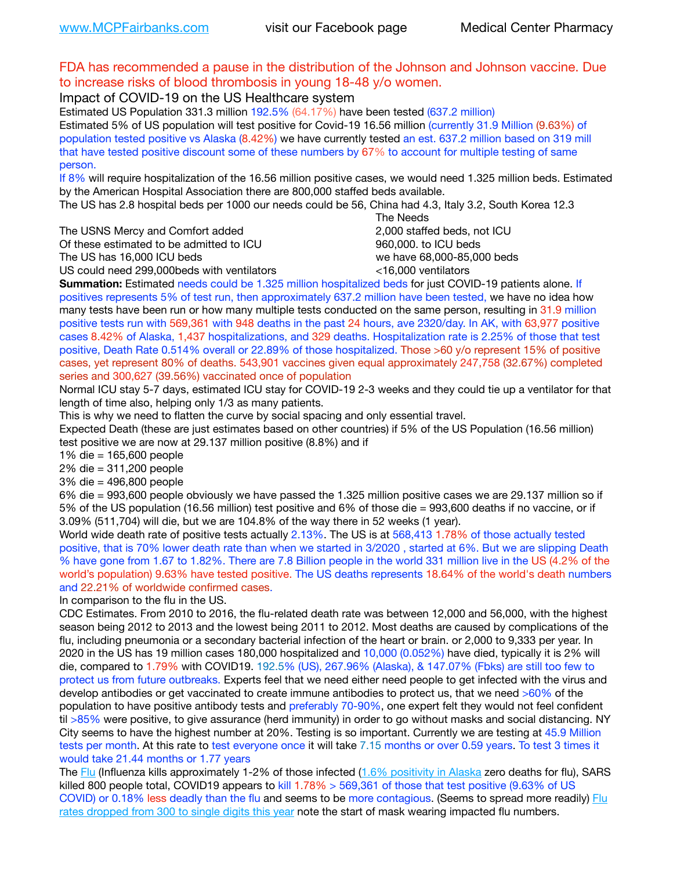#### FDA has recommended a pause in the distribution of the Johnson and Johnson vaccine. Due to increase risks of blood thrombosis in young 18-48 y/o women.

Impact of COVID-19 on the US Healthcare system

Estimated US Population 331.3 million 192.5% (64.17%) have been tested (637.2 million) Estimated 5% of US population will test positive for Covid-19 16.56 million (currently 31.9 Million (9.63%) of population tested positive vs Alaska (8.42%) we have currently tested an est. 637.2 million based on 319 mill that have tested positive discount some of these numbers by 67% to account for multiple testing of same person.

If 8% will require hospitalization of the 16.56 million positive cases, we would need 1.325 million beds. Estimated by the American Hospital Association there are 800,000 staffed beds available.

The US has 2.8 hospital beds per 1000 our needs could be 56, China had 4.3, Italy 3.2, South Korea 12.3

The USNS Mercy and Comfort added 2,000 staffed beds, not ICU

Of these estimated to be admitted to ICU **860,000**, to ICU beds

 The Needs The US has 16,000 ICU beds we have 68,000-85,000 beds US could need 299,000 beds with ventilators  $\leq$ 16,000 ventilators

**Summation:** Estimated needs could be 1.325 million hospitalized beds for just COVID-19 patients alone. If

positives represents 5% of test run, then approximately 637.2 million have been tested, we have no idea how many tests have been run or how many multiple tests conducted on the same person, resulting in 31.9 million positive tests run with 569,361 with 948 deaths in the past 24 hours, ave 2320/day. In AK, with 63,977 positive cases 8.42% of Alaska, 1,437 hospitalizations, and 329 deaths. Hospitalization rate is 2.25% of those that test positive, Death Rate 0.514% overall or 22.89% of those hospitalized. Those >60 y/o represent 15% of positive cases, yet represent 80% of deaths. 543,901 vaccines given equal approximately 247,758 (32.67%) completed series and 300,627 (39.56%) vaccinated once of population

Normal ICU stay 5-7 days, estimated ICU stay for COVID-19 2-3 weeks and they could tie up a ventilator for that length of time also, helping only 1/3 as many patients.

This is why we need to flatten the curve by social spacing and only essential travel.

Expected Death (these are just estimates based on other countries) if 5% of the US Population (16.56 million) test positive we are now at 29.137 million positive (8.8%) and if

1% die = 165,600 people

2% die = 311,200 people

3% die = 496,800 people

6% die = 993,600 people obviously we have passed the 1.325 million positive cases we are 29.137 million so if 5% of the US population (16.56 million) test positive and 6% of those die = 993,600 deaths if no vaccine, or if 3.09% (511,704) will die, but we are 104.8% of the way there in 52 weeks (1 year).

World wide death rate of positive tests actually 2.13%. The US is at 568,413 1.78% of those actually tested positive, that is 70% lower death rate than when we started in 3/2020 , started at 6%. But we are slipping Death % have gone from 1.67 to 1.82%. There are 7.8 Billion people in the world 331 million live in the US (4.2% of the world's population) 9.63% have tested positive. The US deaths represents 18.64% of the world's death numbers and 22.21% of worldwide confirmed cases.

In comparison to the flu in the US.

CDC Estimates. From 2010 to 2016, the flu-related death rate was between 12,000 and 56,000, with the highest season being 2012 to 2013 and the lowest being 2011 to 2012. Most deaths are caused by complications of the flu, including pneumonia or a secondary bacterial infection of the heart or brain. or 2,000 to 9,333 per year. In 2020 in the US has 19 million cases 180,000 hospitalized and 10,000 (0.052%) have died, typically it is 2% will die, compared to 1.79% with COVID19. 192.5% (US), 267.96% (Alaska), & 147.07% (Fbks) are still too few to protect us from future outbreaks. Experts feel that we need either need people to get infected with the virus and develop antibodies or get vaccinated to create immune antibodies to protect us, that we need >60% of the population to have positive antibody tests and preferably 70-90%, one expert felt they would not feel confident til >85% were positive, to give assurance (herd immunity) in order to go without masks and social distancing. NY City seems to have the highest number at 20%. Testing is so important. Currently we are testing at 45.9 Million tests per month. At this rate to test everyone once it will take 7.15 months or over 0.59 years. To test 3 times it would take 21.44 months or 1.77 years

The [Flu](https://lnks.gd/l/eyJhbGciOiJIUzI1NiJ9.eyJidWxsZXRpbl9saW5rX2lkIjoxMDMsInVyaSI6ImJwMjpjbGljayIsImJ1bGxldGluX2lkIjoiMjAyMTAyMjYuMzYwNDA3NTEiLCJ1cmwiOiJodHRwczovL3d3dy5jZGMuZ292L2ZsdS93ZWVrbHkvb3ZlcnZpZXcuaHRtIn0.ePMA_hsZ-pTnhWSyg1gHvHWYTu2XceVOt0JejxvP1WE/s/500544915/br/98428119752-l) (Influenza kills approximately 1-2% of those infected ([1.6% positivity in Alaska](http://dhss.alaska.gov/dph/Epi/id/SiteAssets/Pages/influenza/trends/Snapshot.pdf) zero deaths for flu), SARS killed 800 people total, COVID19 appears to kill 1.78% > 569,361 of those that test positive (9.63% of US COVID) or 0.18% less deadly than the flu and seems to be more contagious. (Seems to spread more readily) Flu [rates dropped from 300 to single digits this year](https://lnks.gd/l/eyJhbGciOiJIUzI1NiJ9.eyJidWxsZXRpbl9saW5rX2lkIjoxMDEsInVyaSI6ImJwMjpjbGljayIsImJ1bGxldGluX2lkIjoiMjAyMTAyMjYuMzYwNDA3NTEiLCJ1cmwiOiJodHRwOi8vZGhzcy5hbGFza2EuZ292L2RwaC9FcGkvaWQvUGFnZXMvaW5mbHVlbnphL2ZsdWluZm8uYXNweCJ9.oOe3nt2fww6XpsNhb4FZfmtPfPa-irGaldpkURBJhSo/s/500544915/br/98428119752-l) note the start of mask wearing impacted flu numbers.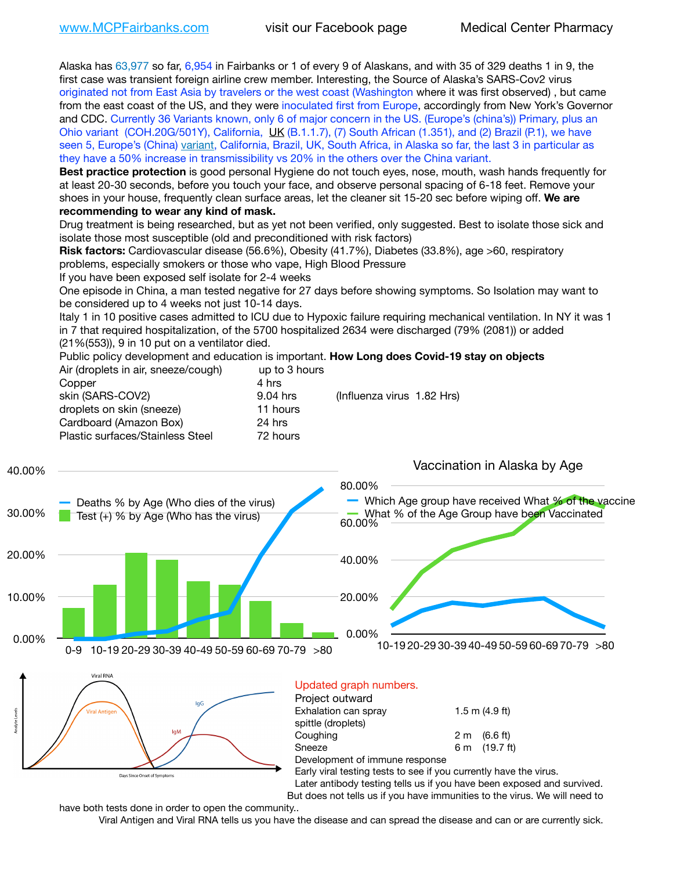Alaska has 63,977 so far, 6,954 in Fairbanks or 1 of every 9 of Alaskans, and with 35 of 329 deaths 1 in 9, the first case was transient foreign airline crew member. Interesting, the Source of Alaska's SARS-Cov2 virus originated not from East Asia by travelers or the west coast (Washington where it was first observed) , but came from the east coast of the US, and they were inoculated first from Europe, accordingly from New York's Governor and CDC. Currently 36 Variants known, only 6 of major concern in the US. (Europe's (china's)) Primary, plus an Ohio variant (COH.20G/501Y), California, [UK](https://www.cdc.gov/coronavirus/2019-ncov/transmission/variant-cases.html) (B.1.1.7), (7) South African (1.351), and (2) Brazil (P.1), we have seen 5, Europe's (China) [variant,](https://www.webmd.com/lung/news/20210318/cdc-who-create-threat-levels-for-covid-variants?ecd=wnl_cvd_031921&ctr=wnl-cvd-031921&mb=kYbf7DsHb7YGjh/1RUkcAW0T6iorImAU1TDZh18RYs0=_Support_titleLink_2) California, Brazil, UK, South Africa, in Alaska so far, the last 3 in particular as they have a 50% increase in transmissibility vs 20% in the others over the China variant.

**Best practice protection** is good personal Hygiene do not touch eyes, nose, mouth, wash hands frequently for at least 20-30 seconds, before you touch your face, and observe personal spacing of 6-18 feet. Remove your shoes in your house, frequently clean surface areas, let the cleaner sit 15-20 sec before wiping off. **We are recommending to wear any kind of mask.**

Drug treatment is being researched, but as yet not been verified, only suggested. Best to isolate those sick and isolate those most susceptible (old and preconditioned with risk factors)

**Risk factors:** Cardiovascular disease (56.6%), Obesity (41.7%), Diabetes (33.8%), age >60, respiratory problems, especially smokers or those who vape, High Blood Pressure

If you have been exposed self isolate for 2-4 weeks

One episode in China, a man tested negative for 27 days before showing symptoms. So Isolation may want to be considered up to 4 weeks not just 10-14 days.

Italy 1 in 10 positive cases admitted to ICU due to Hypoxic failure requiring mechanical ventilation. In NY it was 1 in 7 that required hospitalization, of the 5700 hospitalized 2634 were discharged (79% (2081)) or added (21%(553)), 9 in 10 put on a ventilator died.

Public policy development and education is important. **How Long does Covid-19 stay on objects** Air (droplets in air, sneeze/cough) up to 3 hours

| Copper                           | 4 hrs    |                            |
|----------------------------------|----------|----------------------------|
| skin (SARS-COV2)                 | 9.04 hrs | (Influenza virus 1.82 Hrs) |
| droplets on skin (sneeze)        | 11 hours |                            |
| Cardboard (Amazon Box)           | 24 hrs   |                            |
| Plastic surfaces/Stainless Steel | 72 hours |                            |
|                                  |          |                            |



| Project outward                                                   |                        |
|-------------------------------------------------------------------|------------------------|
| Exhalation can spray                                              | $1.5$ m $(4.9$ ft)     |
| spittle (droplets)                                                |                        |
| Coughing                                                          | $2 \text{ m}$ (6.6 ft) |
| Sneeze                                                            | 6 m (19.7 ft)          |
| Development of immune response                                    |                        |
| Early viral testing tests to see if you currently have the virus. |                        |
| Later antibody testing tells us if you have been exposed and      |                        |
|                                                                   |                        |

nd survived. But does not tells us if you have immunities to the virus. We will need to

have both tests done in order to open the community..

Days Since Onset of Symptom

Viral Antigen and Viral RNA tells us you have the disease and can spread the disease and can or are currently sick.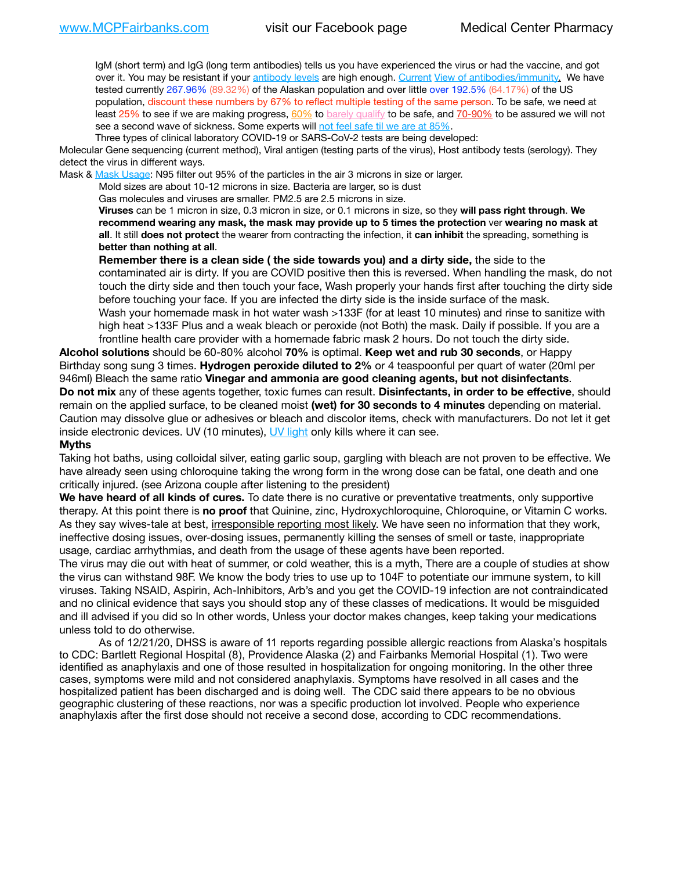IgM (short term) and IgG (long term antibodies) tells us you have experienced the virus or had the vaccine, and got over it. You may be resistant if your [antibody levels](https://www.cdc.gov/coronavirus/2019-ncov/lab/resources/antibody-tests.html) are high enough. [Current](https://l.facebook.com/l.php?u=https://www.itv.com/news/2020-10-26/covid-19-antibody-levels-reduce-over-time-study-finds?fbclid=IwAR3Dapzh1qIH1EIOdUQI2y8THf7jfA4KBCaJz8Qg-8xe1YsrR4nsAHDIXSY&h=AT30nut8pkqp0heVuz5W2rT2WFFm-2Ab52BsJxZZCNlGsX58IpPkuVEPULbIUV_M16MAukx1Kwb657DPXxsgDN1rpOQ4gqBtQsmVYiWpnHPJo2RQsU6CPMd14lgLnQnFWxfVi6zvmw&__tn__=-UK-R&c%5B0%5D=AT1GaRAfR_nGAyqcn7TI1-PpvqOqEKXHnz6TDWvRStMnOSH7boQDvTiwTOc6VId9UES6LKiOmm2m88wKCoolkJyOFvakt2Z1Mw8toYWGGoWW23r0MNVBl7cYJXB_UOvGklNHaNnaNr1_S7NhT3BSykNOBg) [View of antibodies/immunity](https://www.livescience.com/antibodies.html)[.](https://www.itv.com/news/2020-10-26/covid-19-antibody-levels-reduce-over-time-study-finds) We have tested currently 267.96% (89.32%) of the Alaskan population and over little over 192.5% (64.17%) of the US population, discount these numbers by 67% to reflect multiple testing of the same person. To be safe, we need at least 25% to see if we are making progress, [60%](https://www.jhsph.edu/covid-19/articles/achieving-herd-immunity-with-covid19.html) to [barely qualify](https://www.nature.com/articles/d41586-020-02948-4) to be safe, and [70-90%](https://www.mayoclinic.org/herd-immunity-and-coronavirus/art-20486808) to be assured we will not see a second wave of sickness. Some experts will [not feel safe til we are at 85%.](https://www.bannerhealth.com/healthcareblog/teach-me/what-is-herd-immunity)

Three types of clinical laboratory COVID-19 or SARS-CoV-2 tests are being developed:

Molecular Gene sequencing (current method), Viral antigen (testing parts of the virus), Host antibody tests (serology). They detect the virus in different ways.

Mask & [Mask Usage:](https://www.nationalgeographic.com/history/2020/03/how-cities-flattened-curve-1918-spanish-flu-pandemic-coronavirus/) N95 filter out 95% of the particles in the air 3 microns in size or larger.

Mold sizes are about 10-12 microns in size. Bacteria are larger, so is dust

Gas molecules and viruses are smaller. PM2.5 are 2.5 microns in size.

**Viruses** can be 1 micron in size, 0.3 micron in size, or 0.1 microns in size, so they **will pass right through**. **We recommend wearing any mask, the mask may provide up to 5 times the protection** ver **wearing no mask at all**. It still **does not protect** the wearer from contracting the infection, it **can inhibit** the spreading, something is **better than nothing at all**.

**Remember there is a clean side ( the side towards you) and a dirty side,** the side to the contaminated air is dirty. If you are COVID positive then this is reversed. When handling the mask, do not touch the dirty side and then touch your face, Wash properly your hands first after touching the dirty side before touching your face. If you are infected the dirty side is the inside surface of the mask. Wash your homemade mask in hot water wash >133F (for at least 10 minutes) and rinse to sanitize with high heat >133F Plus and a weak bleach or peroxide (not Both) the mask. Daily if possible. If you are a frontline health care provider with a homemade fabric mask 2 hours. Do not touch the dirty side.

**Alcohol solutions** should be 60-80% alcohol **70%** is optimal. **Keep wet and rub 30 seconds**, or Happy Birthday song sung 3 times. **Hydrogen peroxide diluted to 2%** or 4 teaspoonful per quart of water (20ml per 946ml) Bleach the same ratio **Vinegar and ammonia are good cleaning agents, but not disinfectants**. **Do not mix** any of these agents together, toxic fumes can result. **Disinfectants, in order to be effective**, should remain on the applied surface, to be cleaned moist **(wet) for 30 seconds to 4 minutes** depending on material. Caution may dissolve glue or adhesives or bleach and discolor items, check with manufacturers. Do not let it get inside electronic devices. UV (10 minutes), [UV light](http://www.docreviews.me/best-uv-boxes-2020/?fbclid=IwAR3bvFtXB48OoBBSvYvTEnKuHNPbipxM6jUo82QUSw9wckxjC7wwRZWabGw) only kills where it can see.

#### **Myths**

Taking hot baths, using colloidal silver, eating garlic soup, gargling with bleach are not proven to be effective. We have already seen using chloroquine taking the wrong form in the wrong dose can be fatal, one death and one critically injured. (see Arizona couple after listening to the president)

**We have heard of all kinds of cures.** To date there is no curative or preventative treatments, only supportive therapy. At this point there is **no proof** that Quinine, zinc, Hydroxychloroquine, Chloroquine, or Vitamin C works. As they say wives-tale at best, irresponsible reporting most likely. We have seen no information that they work, ineffective dosing issues, over-dosing issues, permanently killing the senses of smell or taste, inappropriate usage, cardiac arrhythmias, and death from the usage of these agents have been reported.

The virus may die out with heat of summer, or cold weather, this is a myth, There are a couple of studies at show the virus can withstand 98F. We know the body tries to use up to 104F to potentiate our immune system, to kill viruses. Taking NSAID, Aspirin, Ach-Inhibitors, Arb's and you get the COVID-19 infection are not contraindicated and no clinical evidence that says you should stop any of these classes of medications. It would be misguided and ill advised if you did so In other words, Unless your doctor makes changes, keep taking your medications unless told to do otherwise.

As of 12/21/20, DHSS is aware of 11 reports regarding possible allergic reactions from Alaska's hospitals to CDC: Bartlett Regional Hospital (8), Providence Alaska (2) and Fairbanks Memorial Hospital (1). Two were identified as anaphylaxis and one of those resulted in hospitalization for ongoing monitoring. In the other three cases, symptoms were mild and not considered anaphylaxis. Symptoms have resolved in all cases and the hospitalized patient has been discharged and is doing well. The CDC said there appears to be no obvious geographic clustering of these reactions, nor was a specific production lot involved. People who experience anaphylaxis after the first dose should not receive a second dose, according to CDC recommendations.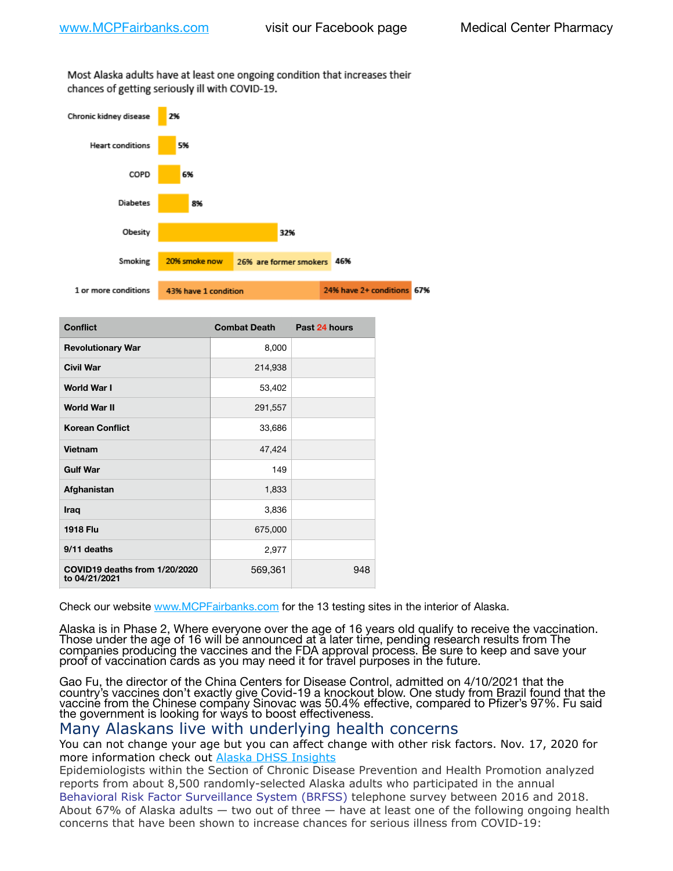Most Alaska adults have at least one ongoing condition that increases their chances of getting seriously ill with COVID-19.



| <b>Conflict</b>                                | <b>Combat Death</b> | Past 24 hours |
|------------------------------------------------|---------------------|---------------|
| <b>Revolutionary War</b>                       | 8,000               |               |
| <b>Civil War</b>                               | 214,938             |               |
| World War I                                    | 53,402              |               |
| <b>World War II</b>                            | 291,557             |               |
| <b>Korean Conflict</b>                         | 33,686              |               |
| Vietnam                                        | 47,424              |               |
| <b>Gulf War</b>                                | 149                 |               |
| Afghanistan                                    | 1,833               |               |
| Iraq                                           | 3,836               |               |
| <b>1918 Flu</b>                                | 675,000             |               |
| 9/11 deaths                                    | 2,977               |               |
| COVID19 deaths from 1/20/2020<br>to 04/21/2021 | 569,361             | 948           |

Check our website [www.MCPFairbanks.com](http://www.MCPFairbanks.com) for the 13 testing sites in the interior of Alaska.

Alaska is in Phase 2, Where everyone over the age of 16 years old qualify to receive the vaccination. Those under the age of 16 will be announced at a later time, pending research results from The companies producing the vaccines and the FDA approval process. Be sure to keep and save your proof of vaccination cards as you may need it for travel purposes in the future.

Gao Fu, the director of the China Centers for Disease Control, admitted on 4/10/2021 that the country's vaccines don't exactly give Covid-19 a knockout blow. One study from Brazil found that the vaccine from the Chinese company Sinovac was 50.4% effective, compared to Pfizer's 97%. Fu said the government is looking for ways to boost effectiveness.

### Many Alaskans live with underlying health concerns

You can not change your age but you can affect change with other risk factors. Nov. 17, 2020 for more information check out [Alaska DHSS Insights](http://dhss.alaska.gov/dph/Epi/id/Pages/COVID-19/blog/20201117.aspx)

Epidemiologists within the Section of Chronic Disease Prevention and Health Promotion analyzed reports from about 8,500 randomly-selected Alaska adults who participated in the annual [Behavioral Risk Factor Surveillance System \(BRFSS\)](http://dhss.alaska.gov/dph/Chronic/Pages/brfss/default.aspx) telephone survey between 2016 and 2018. About 67% of Alaska adults — two out of three — have at least one of the following ongoing health concerns that have been shown to increase chances for serious illness from COVID-19: